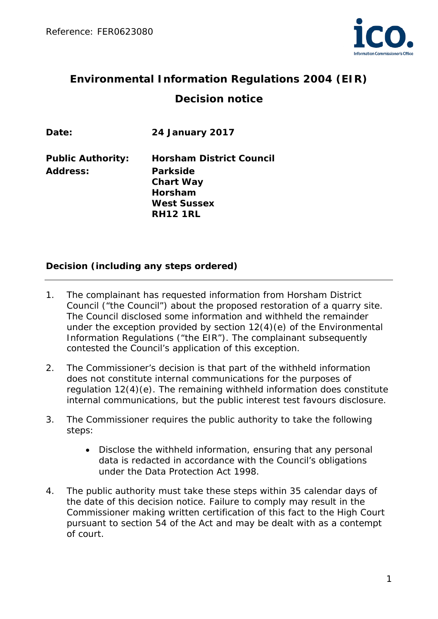

# **Environmental Information Regulations 2004 (EIR) Decision notice**

| Date:                    | <b>24 January 2017</b>          |
|--------------------------|---------------------------------|
| <b>Public Authority:</b> | <b>Horsham District Council</b> |
| Address:                 | Parkside                        |
|                          | <b>Chart Way</b>                |
|                          | Horsham                         |
|                          | <b>West Sussex</b>              |
|                          | <b>RH12 1RL</b>                 |

# **Decision (including any steps ordered)**

- 1. The complainant has requested information from Horsham District Council ("the Council") about the proposed restoration of a quarry site. The Council disclosed some information and withheld the remainder under the exception provided by section 12(4)(e) of the Environmental Information Regulations ("the EIR"). The complainant subsequently contested the Council's application of this exception.
- 2. The Commissioner's decision is that part of the withheld information does not constitute internal communications for the purposes of regulation 12(4)(e). The remaining withheld information does constitute internal communications, but the public interest test favours disclosure.
- 3. The Commissioner requires the public authority to take the following steps:
	- Disclose the withheld information, ensuring that any personal data is redacted in accordance with the Council's obligations under the Data Protection Act 1998.
- 4. The public authority must take these steps within 35 calendar days of the date of this decision notice. Failure to comply may result in the Commissioner making written certification of this fact to the High Court pursuant to section 54 of the Act and may be dealt with as a contempt of court.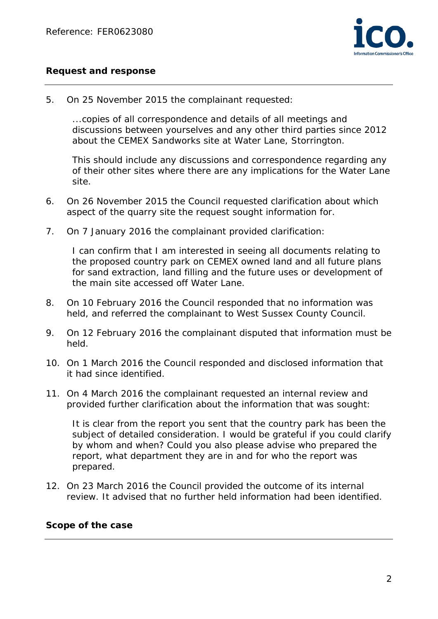

### **Request and response**

5. On 25 November 2015 the complainant requested:

*...copies of all correspondence and details of all meetings and discussions between yourselves and any other third parties since 2012 about the CEMEX Sandworks site at Water Lane, Storrington.*

*This should include any discussions and correspondence regarding any of their other sites where there are any implications for the Water Lane site.*

- 6. On 26 November 2015 the Council requested clarification about which aspect of the quarry site the request sought information for.
- 7. On 7 January 2016 the complainant provided clarification:

*I can confirm that I am interested in seeing all documents relating to the proposed country park on CEMEX owned land and all future plans*  for sand extraction, land filling and the future uses or development of *the main site accessed off Water Lane.*

- 8. On 10 February 2016 the Council responded that no information was held, and referred the complainant to West Sussex County Council.
- 9. On 12 February 2016 the complainant disputed that information must be held.
- 10. On 1 March 2016 the Council responded and disclosed information that it had since identified.
- 11. On 4 March 2016 the complainant requested an internal review and provided further clarification about the information that was sought:

*It is clear from the report you sent that the country park has been the subject of detailed consideration. I would be grateful if you could clarify by whom and when? Could you also please advise who prepared the report, what department they are in and for who the report was prepared.*

12. On 23 March 2016 the Council provided the outcome of its internal review. It advised that no further held information had been identified.

### **Scope of the case**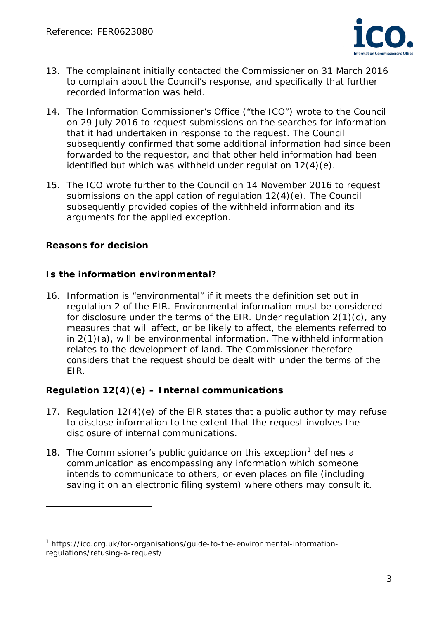

- 13. The complainant initially contacted the Commissioner on 31 March 2016 to complain about the Council's response, and specifically that further recorded information was held.
- 14. The Information Commissioner's Office ("the ICO") wrote to the Council on 29 July 2016 to request submissions on the searches for information that it had undertaken in response to the request. The Council subsequently confirmed that some additional information had since been forwarded to the requestor, and that other held information had been identified but which was withheld under regulation 12(4)(e).
- 15. The ICO wrote further to the Council on 14 November 2016 to request submissions on the application of regulation 12(4)(e). The Council subsequently provided copies of the withheld information and its arguments for the applied exception.

## **Reasons for decision**

 $\overline{a}$ 

### **Is the information environmental?**

16. Information is "environmental" if it meets the definition set out in regulation 2 of the EIR. Environmental information must be considered for disclosure under the terms of the EIR. Under regulation 2(1)(c), any measures that will affect, or be likely to affect, the elements referred to in 2(1)(a), will be environmental information. The withheld information relates to the development of land. The Commissioner therefore considers that the request should be dealt with under the terms of the EIR.

### **Regulation 12(4)(e) – Internal communications**

- 17. Regulation 12(4)(e) of the EIR states that a public authority may refuse to disclose information to the extent that the request involves the disclosure of internal communications.
- [1](#page-2-0)8. The Commissioner's public quidance on this exception<sup>1</sup> defines a communication as encompassing any information which someone intends to communicate to others, or even places on file (including saving it on an electronic filing system) where others may consult it.

<span id="page-2-0"></span><sup>&</sup>lt;sup>1</sup> https://ico.org.uk/for-organisations/guide-to-the-environmental-informationregulations/refusing-a-request/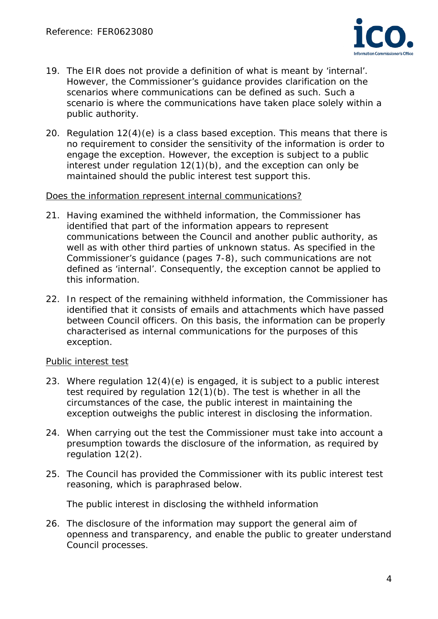

- 19. The EIR does not provide a definition of what is meant by 'internal'. However, the Commissioner's guidance provides clarification on the scenarios where communications can be defined as such. Such a scenario is where the communications have taken place solely within a public authority.
- 20. Regulation 12(4)(e) is a class based exception. This means that there is no requirement to consider the sensitivity of the information is order to engage the exception. However, the exception is subject to a public interest under regulation 12(1)(b), and the exception can only be maintained should the public interest test support this.

#### Does the information represent internal communications?

- 21. Having examined the withheld information, the Commissioner has identified that part of the information appears to represent communications between the Council and another public authority, as well as with other third parties of unknown status. As specified in the Commissioner's guidance (pages 7-8), such communications are not defined as 'internal'. Consequently, the exception cannot be applied to this information.
- 22. In respect of the remaining withheld information, the Commissioner has identified that it consists of emails and attachments which have passed between Council officers. On this basis, the information can be properly characterised as internal communications for the purposes of this exception.

#### Public interest test

- 23. Where regulation 12(4)(e) is engaged, it is subject to a public interest test required by regulation 12(1)(b). The test is whether in all the circumstances of the case, the public interest in maintaining the exception outweighs the public interest in disclosing the information.
- 24. When carrying out the test the Commissioner must take into account a presumption towards the disclosure of the information, as required by regulation 12(2).
- 25. The Council has provided the Commissioner with its public interest test reasoning, which is paraphrased below.

*The public interest in disclosing the withheld information*

26. The disclosure of the information may support the general aim of openness and transparency, and enable the public to greater understand Council processes.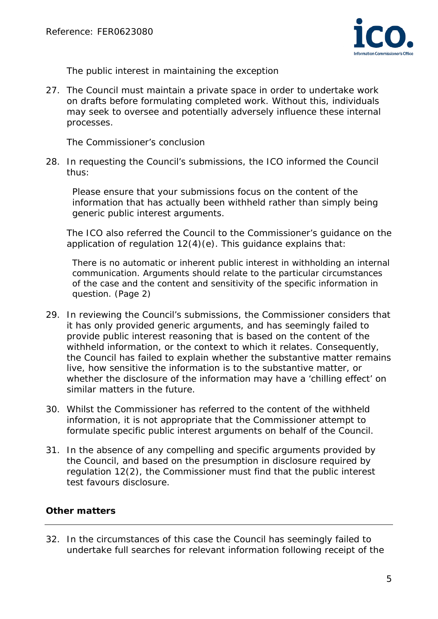

*The public interest in maintaining the exception*

27. The Council must maintain a private space in order to undertake work on drafts before formulating completed work. Without this, individuals may seek to oversee and potentially adversely influence these internal processes.

*The Commissioner's conclusion*

28. In requesting the Council's submissions, the ICO informed the Council thus:

*Please ensure that your submissions focus on the content of the information that has actually been withheld rather than simply being generic public interest arguments.*

The ICO also referred the Council to the Commissioner's guidance on the application of regulation 12(4)(e). This guidance explains that:

*There is no automatic or inherent public interest in withholding an internal communication. Arguments should relate to the particular circumstances of the case and the content and sensitivity of the specific information in question.* (Page 2)

- 29. In reviewing the Council's submissions, the Commissioner considers that it has only provided generic arguments, and has seemingly failed to provide public interest reasoning that is based on the content of the withheld information, or the context to which it relates. Consequently, the Council has failed to explain whether the substantive matter remains live, how sensitive the information is to the substantive matter, or whether the disclosure of the information may have a 'chilling effect' on similar matters in the future.
- 30. Whilst the Commissioner has referred to the content of the withheld information, it is not appropriate that the Commissioner attempt to formulate specific public interest arguments on behalf of the Council.
- 31. In the absence of any compelling and specific arguments provided by the Council, and based on the presumption in disclosure required by regulation 12(2), the Commissioner must find that the public interest test favours disclosure.

# **Other matters**

32. In the circumstances of this case the Council has seemingly failed to undertake full searches for relevant information following receipt of the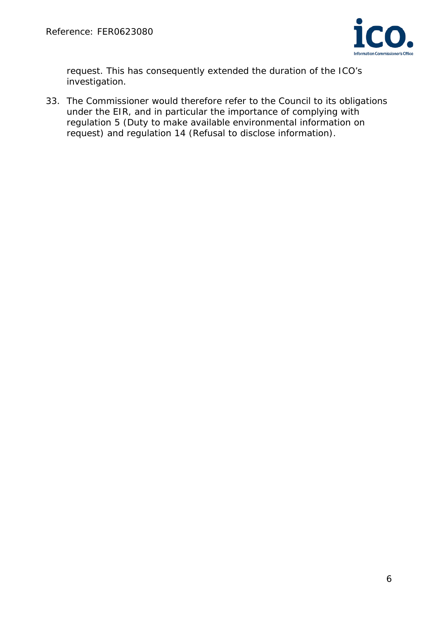

request. This has consequently extended the duration of the ICO's investigation.

33. The Commissioner would therefore refer to the Council to its obligations under the EIR, and in particular the importance of complying with regulation 5 (*Duty to make available environmental information on request*) and regulation 14 (*Refusal to disclose information*).